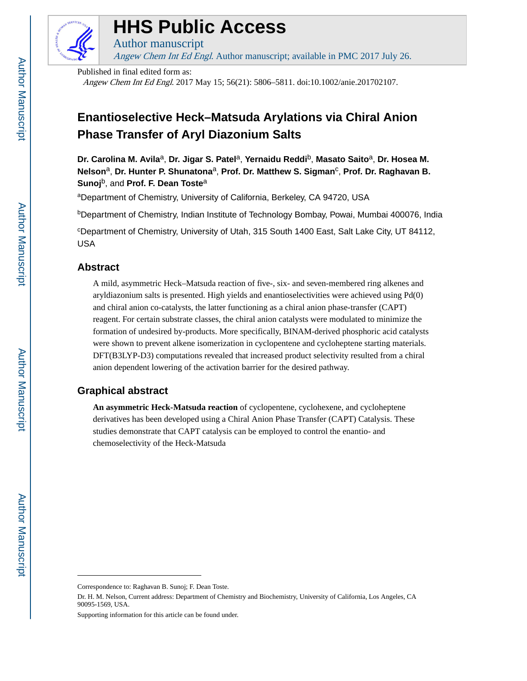

# **HHS Public Access**

Author manuscript Angew Chem Int Ed Engl. Author manuscript; available in PMC 2017 July 26.

Published in final edited form as:

Angew Chem Int Ed Engl. 2017 May 15; 56(21): 5806–5811. doi:10.1002/anie.201702107.

## **Enantioselective Heck–Matsuda Arylations via Chiral Anion Phase Transfer of Aryl Diazonium Salts**

**Dr. Carolina M. Avila**a, **Dr. Jigar S. Patel**a, **Yernaidu Reddi**b, **Masato Saito**a, **Dr. Hosea M.**  Nelson<sup>a</sup>, Dr. Hunter P. Shunatona<sup>a</sup>, Prof. Dr. Matthew S. Sigman<sup>c</sup>, Prof. Dr. Raghavan B. **Sunoj**b, and **Prof. F. Dean Toste**<sup>a</sup>

<sup>a</sup>Department of Chemistry, University of California, Berkeley, CA 94720, USA

<sup>b</sup>Department of Chemistry, Indian Institute of Technology Bombay, Powai, Mumbai 400076, India

<sup>c</sup>Department of Chemistry, University of Utah, 315 South 1400 East, Salt Lake City, UT 84112, USA

## **Abstract**

A mild, asymmetric Heck–Matsuda reaction of five-, six- and seven-membered ring alkenes and aryldiazonium salts is presented. High yields and enantioselectivities were achieved using Pd(0) and chiral anion co-catalysts, the latter functioning as a chiral anion phase-transfer (CAPT) reagent. For certain substrate classes, the chiral anion catalysts were modulated to minimize the formation of undesired by-products. More specifically, BINAM-derived phosphoric acid catalysts were shown to prevent alkene isomerization in cyclopentene and cycloheptene starting materials. DFT(B3LYP-D3) computations revealed that increased product selectivity resulted from a chiral anion dependent lowering of the activation barrier for the desired pathway.

## **Graphical abstract**

**An asymmetric Heck-Matsuda reaction** of cyclopentene, cyclohexene, and cycloheptene derivatives has been developed using a Chiral Anion Phase Transfer (CAPT) Catalysis. These studies demonstrate that CAPT catalysis can be employed to control the enantio- and chemoselectivity of the Heck-Matsuda

Supporting information for this article can be found under.

Correspondence to: Raghavan B. Sunoj; F. Dean Toste.

Dr. H. M. Nelson, Current address: Department of Chemistry and Biochemistry, University of California, Los Angeles, CA 90095-1569, USA.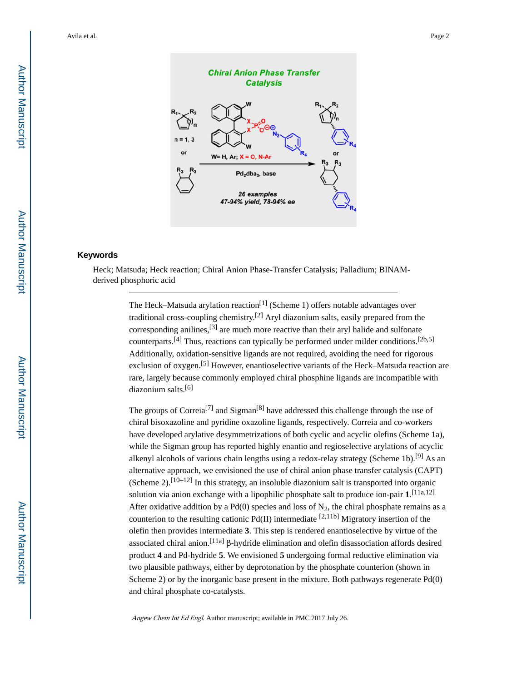

## **Keywords**

Heck; Matsuda; Heck reaction; Chiral Anion Phase-Transfer Catalysis; Palladium; BINAMderived phosphoric acid

> The Heck–Matsuda arylation reaction<sup>[1]</sup> (Scheme 1) offers notable advantages over traditional cross-coupling chemistry.<sup>[2]</sup> Aryl diazonium salts, easily prepared from the corresponding anilines,  $[3]$  are much more reactive than their aryl halide and sulfonate counterparts.<sup>[4]</sup> Thus, reactions can typically be performed under milder conditions.<sup>[2b,5]</sup> Additionally, oxidation-sensitive ligands are not required, avoiding the need for rigorous exclusion of oxygen.<sup>[5]</sup> However, enantioselective variants of the Heck–Matsuda reaction are rare, largely because commonly employed chiral phosphine ligands are incompatible with diazonium salts.[6]

The groups of Correia<sup>[7]</sup> and Sigman<sup>[8]</sup> have addressed this challenge through the use of chiral bisoxazoline and pyridine oxazoline ligands, respectively. Correia and co-workers have developed arylative desymmetrizations of both cyclic and acyclic olefins (Scheme 1a), while the Sigman group has reported highly enantio and regioselective arylations of acyclic alkenyl alcohols of various chain lengths using a redox-relay strategy (Scheme 1b).<sup>[9]</sup> As an alternative approach, we envisioned the use of chiral anion phase transfer catalysis (CAPT) (Scheme  $2$ ).<sup>[10–12]</sup> In this strategy, an insoluble diazonium salt is transported into organic solution via anion exchange with a lipophilic phosphate salt to produce ion-pair **1**. [11a,12] After oxidative addition by a Pd(0) species and loss of  $N_2$ , the chiral phosphate remains as a counterion to the resulting cationic  $Pd(II)$  intermediate  $[2,11b]$  Migratory insertion of the olefin then provides intermediate **3**. This step is rendered enantioselective by virtue of the associated chiral anion.[11a] β-hydride elimination and olefin disassociation affords desired product **4** and Pd-hydride **5**. We envisioned **5** undergoing formal reductive elimination via two plausible pathways, either by deprotonation by the phosphate counterion (shown in Scheme 2) or by the inorganic base present in the mixture. Both pathways regenerate Pd(0) and chiral phosphate co-catalysts.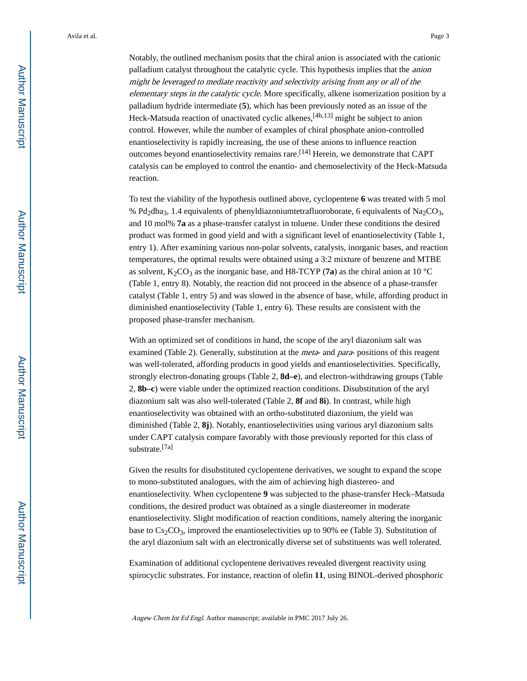Notably, the outlined mechanism posits that the chiral anion is associated with the cationic palladium catalyst throughout the catalytic cycle. This hypothesis implies that the anion might be leveraged to mediate reactivity and selectivity arising from any or all of the elementary steps in the catalytic cycle. More specifically, alkene isomerization position by a palladium hydride intermediate (**5**), which has been previously noted as an issue of the Heck-Matsuda reaction of unactivated cyclic alkenes,<sup>[4b,13]</sup> might be subject to anion control. However, while the number of examples of chiral phosphate anion-controlled enantioselectivity is rapidly increasing, the use of these anions to influence reaction outcomes beyond enantioselectivity remains rare.<sup>[14]</sup> Herein, we demonstrate that CAPT catalysis can be employed to control the enantio- and chemoselectivity of the Heck-Matsuda reaction.

To test the viability of the hypothesis outlined above, cyclopentene **6** was treated with 5 mol % Pd<sub>2</sub>dba<sub>3</sub>, 1.4 equivalents of phenyldiazoniumtetrafluoroborate, 6 equivalents of Na<sub>2</sub>CO<sub>3</sub>, and 10 mol% **7a** as a phase-transfer catalyst in toluene. Under these conditions the desired product was formed in good yield and with a significant level of enantioselectivity (Table 1, entry 1). After examining various non-polar solvents, catalysts, inorganic bases, and reaction temperatures, the optimal results were obtained using a 3:2 mixture of benzene and MTBE as solvent,  $K_2CO_3$  as the inorganic base, and H8-TCYP (**7a**) as the chiral anion at 10 °C (Table 1, entry 8). Notably, the reaction did not proceed in the absence of a phase-transfer catalyst (Table 1, entry 5) and was slowed in the absence of base, while, affording product in diminished enantioselectivity (Table 1, entry 6). These results are consistent with the proposed phase-transfer mechanism.

With an optimized set of conditions in hand, the scope of the aryl diazonium salt was examined (Table 2). Generally, substitution at the *meta*- and *para*- positions of this reagent was well-tolerated, affording products in good yields and enantioselectivities. Specifically, strongly electron-donating groups (Table 2, **8d–e**), and electron-withdrawing groups (Table 2, **8b–c**) were viable under the optimized reaction conditions. Disubstitution of the aryl diazonium salt was also well-tolerated (Table 2, **8f** and **8i**). In contrast, while high enantioselectivity was obtained with an ortho-substituted diazonium, the yield was diminished (Table 2, **8j**). Notably, enantioselectivities using various aryl diazonium salts under CAPT catalysis compare favorably with those previously reported for this class of substrate.[7a]

Given the results for disubstituted cyclopentene derivatives, we sought to expand the scope to mono-substituted analogues, with the aim of achieving high diastereo- and enantioselectivity. When cyclopentene **9** was subjected to the phase-transfer Heck–Matsuda conditions, the desired product was obtained as a single diastereomer in moderate enantioselectivity. Slight modification of reaction conditions, namely altering the inorganic base to  $Cs_2CO_3$ , improved the enantioselectivities up to 90% ee (Table 3). Substitution of the aryl diazonium salt with an electronically diverse set of substituents was well tolerated.

Examination of additional cyclopentene derivatives revealed divergent reactivity using spirocyclic substrates. For instance, reaction of olefin **11**, using BINOL-derived phosphoric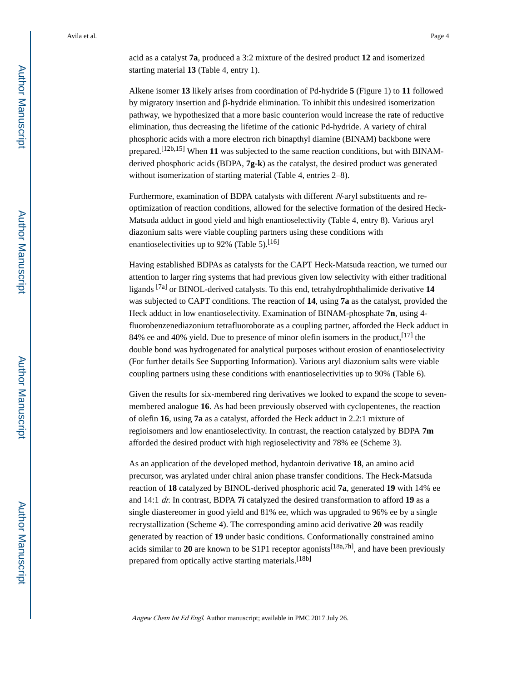acid as a catalyst **7a**, produced a 3:2 mixture of the desired product **12** and isomerized starting material **13** (Table 4, entry 1).

Alkene isomer **13** likely arises from coordination of Pd-hydride **5** (Figure 1) to **11** followed by migratory insertion and β-hydride elimination. To inhibit this undesired isomerization pathway, we hypothesized that a more basic counterion would increase the rate of reductive elimination, thus decreasing the lifetime of the cationic Pd-hydride. A variety of chiral phosphoric acids with a more electron rich binapthyl diamine (BINAM) backbone were prepared.[12b,15] When **11** was subjected to the same reaction conditions, but with BINAMderived phosphoric acids (BDPA, **7g-k**) as the catalyst, the desired product was generated without isomerization of starting material (Table 4, entries 2–8).

Furthermore, examination of BDPA catalysts with different N-aryl substituents and reoptimization of reaction conditions, allowed for the selective formation of the desired Heck-Matsuda adduct in good yield and high enantioselectivity (Table 4, entry 8). Various aryl diazonium salts were viable coupling partners using these conditions with enantioselectivities up to 92% (Table 5).<sup>[16]</sup>

Having established BDPAs as catalysts for the CAPT Heck-Matsuda reaction, we turned our attention to larger ring systems that had previous given low selectivity with either traditional ligands [7a] or BINOL-derived catalysts. To this end, tetrahydrophthalimide derivative **14**  was subjected to CAPT conditions. The reaction of **14**, using **7a** as the catalyst, provided the Heck adduct in low enantioselectivity. Examination of BINAM-phosphate **7n**, using 4 fluorobenzenediazonium tetrafluoroborate as a coupling partner, afforded the Heck adduct in 84% ee and 40% yield. Due to presence of minor olefin isomers in the product,  $[17]$  the double bond was hydrogenated for analytical purposes without erosion of enantioselectivity (For further details See Supporting Information). Various aryl diazonium salts were viable coupling partners using these conditions with enantioselectivities up to 90% (Table 6).

Given the results for six-membered ring derivatives we looked to expand the scope to sevenmembered analogue **16**. As had been previously observed with cyclopentenes, the reaction of olefin **16**, using **7a** as a catalyst, afforded the Heck adduct in 2.2:1 mixture of regioisomers and low enantioselectivity. In contrast, the reaction catalyzed by BDPA **7m**  afforded the desired product with high regioselectivity and 78% ee (Scheme 3).

As an application of the developed method, hydantoin derivative **18**, an amino acid precursor, was arylated under chiral anion phase transfer conditions. The Heck-Matsuda reaction of **18** catalyzed by BINOL-derived phosphoric acid **7a**, generated **19** with 14% ee and 14:1 dr. In contrast, BDPA **7i** catalyzed the desired transformation to afford **19** as a single diastereomer in good yield and 81% ee, which was upgraded to 96% ee by a single recrystallization (Scheme 4). The corresponding amino acid derivative **20** was readily generated by reaction of **19** under basic conditions. Conformationally constrained amino acids similar to 20 are known to be S1P1 receptor agonists<sup>[18a,7h]</sup>, and have been previously prepared from optically active starting materials.<sup>[18b]</sup>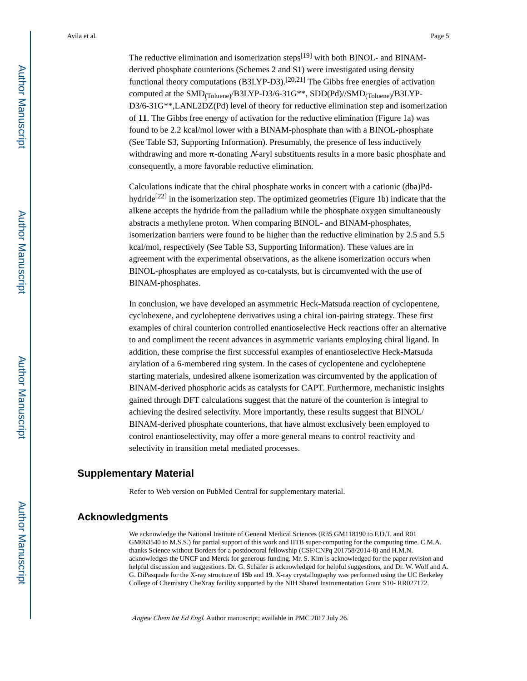The reductive elimination and isomerization steps<sup>[19]</sup> with both BINOL- and BINAMderived phosphate counterions (Schemes 2 and S1) were investigated using density functional theory computations  $(B3LYP-D3)$ .<sup>[20,21]</sup> The Gibbs free energies of activation computed at the SMD(Toluene)/B3LYP-D3/6-31G\*\*, SDD(Pd)//SMD(Toluene)/B3LYP-D3/6-31G\*\*,LANL2DZ(Pd) level of theory for reductive elimination step and isomerization of **11**. The Gibbs free energy of activation for the reductive elimination (Figure 1a) was found to be 2.2 kcal/mol lower with a BINAM-phosphate than with a BINOL-phosphate (See Table S3, Supporting Information). Presumably, the presence of less inductively withdrawing and more  $\pi$ -donating N-aryl substituents results in a more basic phosphate and consequently, a more favorable reductive elimination.

Calculations indicate that the chiral phosphate works in concert with a cationic (dba)Pdhydride<sup>[22]</sup> in the isomerization step. The optimized geometries (Figure 1b) indicate that the alkene accepts the hydride from the palladium while the phosphate oxygen simultaneously abstracts a methylene proton. When comparing BINOL- and BINAM-phosphates, isomerization barriers were found to be higher than the reductive elimination by 2.5 and 5.5 kcal/mol, respectively (See Table S3, Supporting Information). These values are in agreement with the experimental observations, as the alkene isomerization occurs when BINOL-phosphates are employed as co-catalysts, but is circumvented with the use of BINAM-phosphates.

In conclusion, we have developed an asymmetric Heck-Matsuda reaction of cyclopentene, cyclohexene, and cycloheptene derivatives using a chiral ion-pairing strategy. These first examples of chiral counterion controlled enantioselective Heck reactions offer an alternative to and compliment the recent advances in asymmetric variants employing chiral ligand. In addition, these comprise the first successful examples of enantioselective Heck-Matsuda arylation of a 6-membered ring system. In the cases of cyclopentene and cycloheptene starting materials, undesired alkene isomerization was circumvented by the application of BINAM-derived phosphoric acids as catalysts for CAPT. Furthermore, mechanistic insights gained through DFT calculations suggest that the nature of the counterion is integral to achieving the desired selectivity. More importantly, these results suggest that BINOL/ BINAM-derived phosphate counterions, that have almost exclusively been employed to control enantioselectivity, may offer a more general means to control reactivity and selectivity in transition metal mediated processes.

## **Supplementary Material**

Refer to Web version on PubMed Central for supplementary material.

## **Acknowledgments**

We acknowledge the National Institute of General Medical Sciences (R35 GM118190 to F.D.T. and R01 GM063540 to M.S.S.) for partial support of this work and IITB super-computing for the computing time. C.M.A. thanks Science without Borders for a postdoctoral fellowship (CSF/CNPq 201758/2014-8) and H.M.N. acknowledges the UNCF and Merck for generous funding. Mr. S. Kim is acknowledged for the paper revision and helpful discussion and suggestions. Dr. G. Schäfer is acknowledged for helpful suggestions, and Dr. W. Wolf and A. G. DiPasquale for the X-ray structure of **15b** and **19**. X-ray crystallography was performed using the UC Berkeley College of Chemistry CheXray facility supported by the NIH Shared Instrumentation Grant S10- RR027172.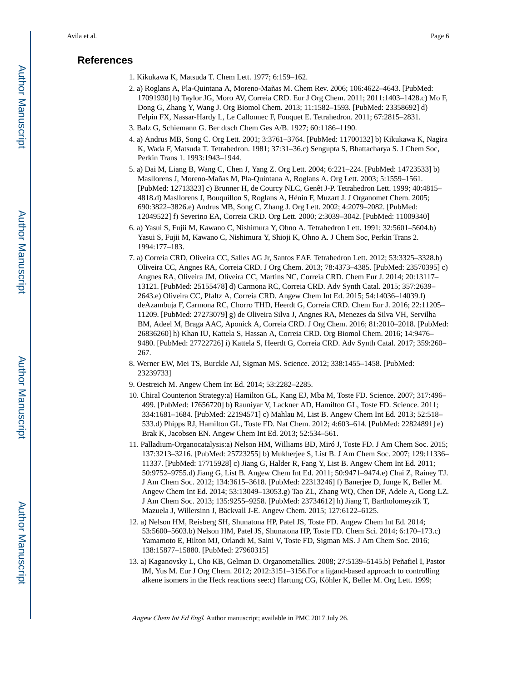## **References**

- 1. Kikukawa K, Matsuda T. Chem Lett. 1977; 6:159–162.
- 2. a) Roglans A, Pla-Quintana A, Moreno-Mañas M. Chem Rev. 2006; 106:4622–4643. [PubMed: 17091930] b) Taylor JG, Moro AV, Correia CRD. Eur J Org Chem. 2011; 2011:1403–1428.c) Mo F, Dong G, Zhang Y, Wang J. Org Biomol Chem. 2013; 11:1582–1593. [PubMed: 23358692] d) Felpin FX, Nassar-Hardy L, Le Callonnec F, Fouquet E. Tetrahedron. 2011; 67:2815–2831.
- 3. Balz G, Schiemann G. Ber dtsch Chem Ges A/B. 1927; 60:1186–1190.
- 4. a) Andrus MB, Song C. Org Lett. 2001; 3:3761–3764. [PubMed: 11700132] b) Kikukawa K, Nagira K, Wada F, Matsuda T. Tetrahedron. 1981; 37:31–36.c) Sengupta S, Bhattacharya S. J Chem Soc, Perkin Trans 1. 1993:1943–1944.
- 5. a) Dai M, Liang B, Wang C, Chen J, Yang Z. Org Lett. 2004; 6:221–224. [PubMed: 14723533] b) Masllorens J, Moreno-Mañas M, Pla-Quintana A, Roglans A. Org Lett. 2003; 5:1559–1561. [PubMed: 12713323] c) Brunner H, de Courcy NLC, Genêt J-P. Tetrahedron Lett. 1999; 40:4815– 4818.d) Masllorens J, Bouquillon S, Roglans A, Hénin F, Muzart J. J Organomet Chem. 2005; 690:3822–3826.e) Andrus MB, Song C, Zhang J. Org Lett. 2002; 4:2079–2082. [PubMed: 12049522] f) Severino EA, Correia CRD. Org Lett. 2000; 2:3039–3042. [PubMed: 11009340]
- 6. a) Yasui S, Fujii M, Kawano C, Nishimura Y, Ohno A. Tetrahedron Lett. 1991; 32:5601–5604.b) Yasui S, Fujii M, Kawano C, Nishimura Y, Shioji K, Ohno A. J Chem Soc, Perkin Trans 2. 1994:177–183.
- 7. a) Correia CRD, Oliveira CC, Salles AG Jr, Santos EAF. Tetrahedron Lett. 2012; 53:3325–3328.b) Oliveira CC, Angnes RA, Correia CRD. J Org Chem. 2013; 78:4373–4385. [PubMed: 23570395] c) Angnes RA, Oliveira JM, Oliveira CC, Martins NC, Correia CRD. Chem Eur J. 2014; 20:13117– 13121. [PubMed: 25155478] d) Carmona RC, Correia CRD. Adv Synth Catal. 2015; 357:2639– 2643.e) Oliveira CC, Pfaltz A, Correia CRD. Angew Chem Int Ed. 2015; 54:14036–14039.f) deAzambuja F, Carmona RC, Chorro THD, Heerdt G, Correia CRD. Chem Eur J. 2016; 22:11205– 11209. [PubMed: 27273079] g) de Oliveira Silva J, Angnes RA, Menezes da Silva VH, Servilha BM, Adeel M, Braga AAC, Aponick A, Correia CRD. J Org Chem. 2016; 81:2010–2018. [PubMed: 26836260] h) Khan IU, Kattela S, Hassan A, Correia CRD. Org Biomol Chem. 2016; 14:9476– 9480. [PubMed: 27722726] i) Kattela S, Heerdt G, Correia CRD. Adv Synth Catal. 2017; 359:260– 267.
- 8. Werner EW, Mei TS, Burckle AJ, Sigman MS. Science. 2012; 338:1455–1458. [PubMed: 23239733]
- 9. Oestreich M. Angew Chem Int Ed. 2014; 53:2282–2285.
- 10. Chiral Counterion Strategy:a) Hamilton GL, Kang EJ, Mba M, Toste FD. Science. 2007; 317:496– 499. [PubMed: 17656720] b) Rauniyar V, Lackner AD, Hamilton GL, Toste FD. Science. 2011; 334:1681–1684. [PubMed: 22194571] c) Mahlau M, List B. Angew Chem Int Ed. 2013; 52:518– 533.d) Phipps RJ, Hamilton GL, Toste FD. Nat Chem. 2012; 4:603–614. [PubMed: 22824891] e) Brak K, Jacobsen EN. Angew Chem Int Ed. 2013; 52:534–561.
- 11. Palladium-Organocatalysis:a) Nelson HM, Williams BD, Miró J, Toste FD. J Am Chem Soc. 2015; 137:3213–3216. [PubMed: 25723255] b) Mukherjee S, List B. J Am Chem Soc. 2007; 129:11336– 11337. [PubMed: 17715928] c) Jiang G, Halder R, Fang Y, List B. Angew Chem Int Ed. 2011; 50:9752–9755.d) Jiang G, List B. Angew Chem Int Ed. 2011; 50:9471–9474.e) Chai Z, Rainey TJ. J Am Chem Soc. 2012; 134:3615–3618. [PubMed: 22313246] f) Banerjee D, Junge K, Beller M. Angew Chem Int Ed. 2014; 53:13049–13053.g) Tao ZL, Zhang WQ, Chen DF, Adele A, Gong LZ. J Am Chem Soc. 2013; 135:9255–9258. [PubMed: 23734612] h) Jiang T, Bartholomeyzik T, Mazuela J, Willersinn J, Bäckvall J-E. Angew Chem. 2015; 127:6122–6125.
- 12. a) Nelson HM, Reisberg SH, Shunatona HP, Patel JS, Toste FD. Angew Chem Int Ed. 2014; 53:5600–5603.b) Nelson HM, Patel JS, Shunatona HP, Toste FD. Chem Sci. 2014; 6:170–173.c) Yamamoto E, Hilton MJ, Orlandi M, Saini V, Toste FD, Sigman MS. J Am Chem Soc. 2016; 138:15877–15880. [PubMed: 27960315]
- 13. a) Kaganovsky L, Cho KB, Gelman D. Organometallics. 2008; 27:5139–5145.b) Peñafiel I, Pastor IM, Yus M. Eur J Org Chem. 2012; 2012:3151–3156.For a ligand-based approach to controlling alkene isomers in the Heck reactions see:c) Hartung CG, Köhler K, Beller M. Org Lett. 1999;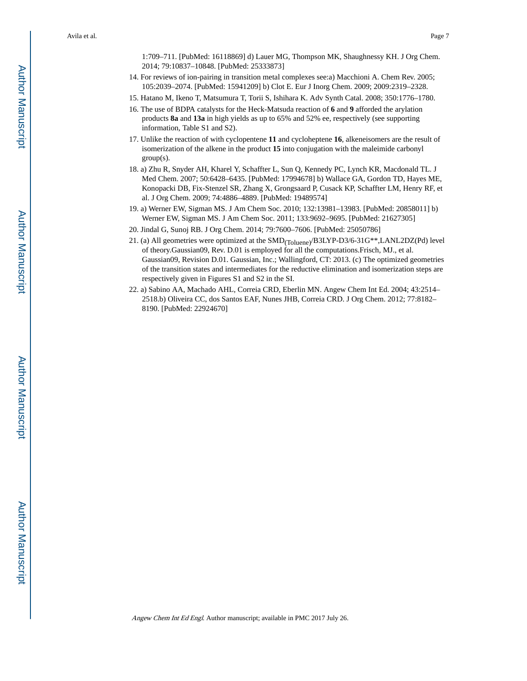1:709–711. [PubMed: 16118869] d) Lauer MG, Thompson MK, Shaughnessy KH. J Org Chem. 2014; 79:10837–10848. [PubMed: 25333873]

- 14. For reviews of ion-pairing in transition metal complexes see:a) Macchioni A. Chem Rev. 2005; 105:2039–2074. [PubMed: 15941209] b) Clot E. Eur J Inorg Chem. 2009; 2009:2319–2328.
- 15. Hatano M, Ikeno T, Matsumura T, Torii S, Ishihara K. Adv Synth Catal. 2008; 350:1776–1780.
- 16. The use of BDPA catalysts for the Heck-Matsuda reaction of **6** and **9** afforded the arylation products **8a** and **13a** in high yields as up to 65% and 52% ee, respectively (see supporting information, Table S1 and S2).
- 17. Unlike the reaction of with cyclopentene **11** and cycloheptene **16**, alkeneisomers are the result of isomerization of the alkene in the product **15** into conjugation with the maleimide carbonyl group(s).
- 18. a) Zhu R, Snyder AH, Kharel Y, Schaffter L, Sun Q, Kennedy PC, Lynch KR, Macdonald TL. J Med Chem. 2007; 50:6428–6435. [PubMed: 17994678] b) Wallace GA, Gordon TD, Hayes ME, Konopacki DB, Fix-Stenzel SR, Zhang X, Grongsaard P, Cusack KP, Schaffter LM, Henry RF, et al. J Org Chem. 2009; 74:4886–4889. [PubMed: 19489574]
- 19. a) Werner EW, Sigman MS. J Am Chem Soc. 2010; 132:13981–13983. [PubMed: 20858011] b) Werner EW, Sigman MS. J Am Chem Soc. 2011; 133:9692–9695. [PubMed: 21627305]
- 20. Jindal G, Sunoj RB. J Org Chem. 2014; 79:7600–7606. [PubMed: 25050786]
- 21. (a) All geometries were optimized at the SMD(Toluene)/B3LYP-D3/6-31G\*\*,LANL2DZ(Pd) level of theory.Gaussian09, Rev. D.01 is employed for all the computations.Frisch, MJ., et al. Gaussian09, Revision D.01. Gaussian, Inc.; Wallingford, CT: 2013. (c) The optimized geometries of the transition states and intermediates for the reductive elimination and isomerization steps are respectively given in Figures S1 and S2 in the SI.
- 22. a) Sabino AA, Machado AHL, Correia CRD, Eberlin MN. Angew Chem Int Ed. 2004; 43:2514– 2518.b) Oliveira CC, dos Santos EAF, Nunes JHB, Correia CRD. J Org Chem. 2012; 77:8182– 8190. [PubMed: 22924670]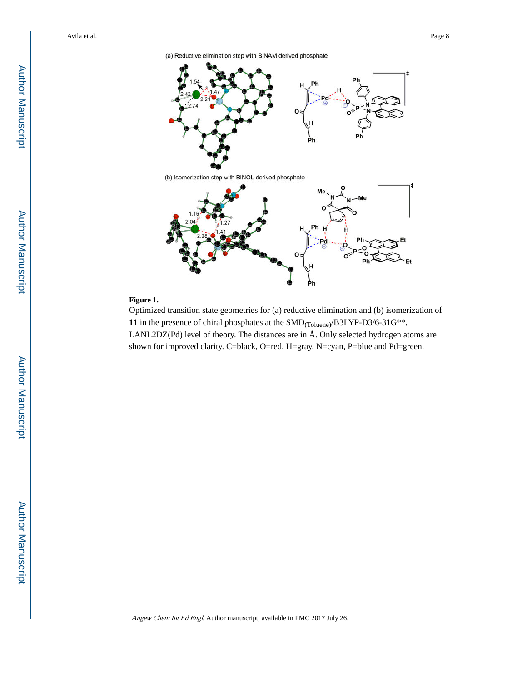



(b) Isomerization step with BINOL derived phosphate



## **Figure 1.**

Optimized transition state geometries for (a) reductive elimination and (b) isomerization of **11** in the presence of chiral phosphates at the SMD(Toluene)/B3LYP-D3/6-31G\*\*, LANL2DZ(Pd) level of theory. The distances are in Å. Only selected hydrogen atoms are shown for improved clarity. C=black, O=red, H=gray, N=cyan, P=blue and Pd=green.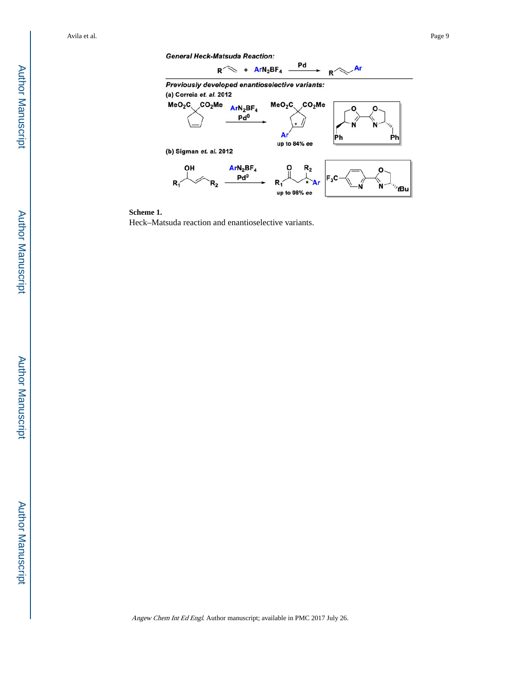Ph



(b) Sigman et. al. 2012





Heck–Matsuda reaction and enantioselective variants.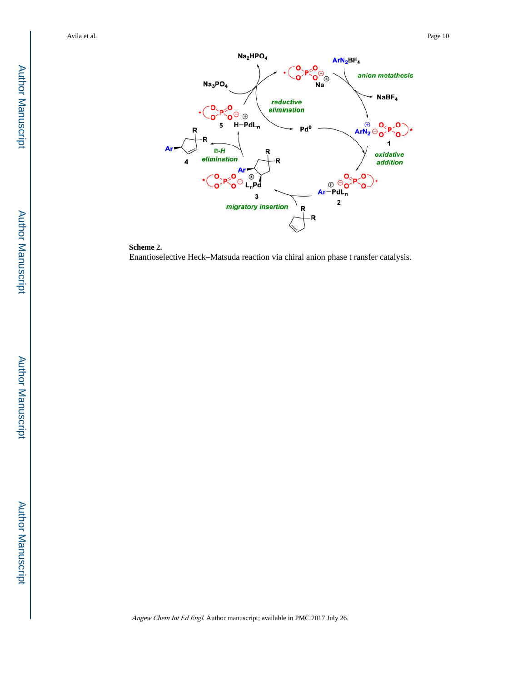

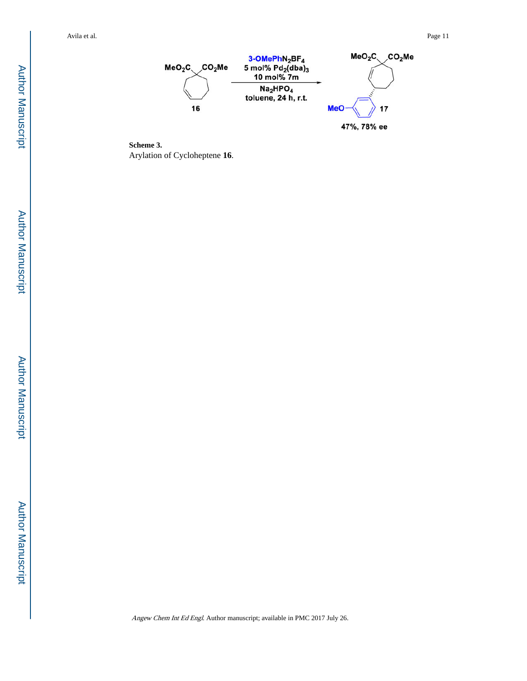



**Scheme 3.**  Arylation of Cycloheptene **16** .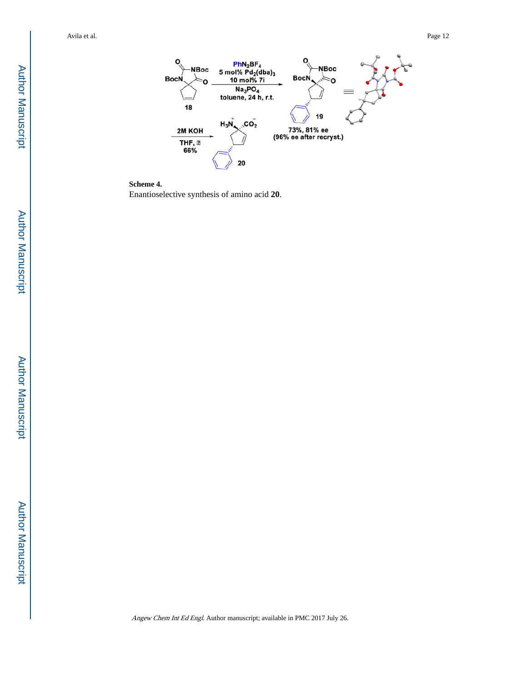



Enantioselective synthesis of amino acid **20** .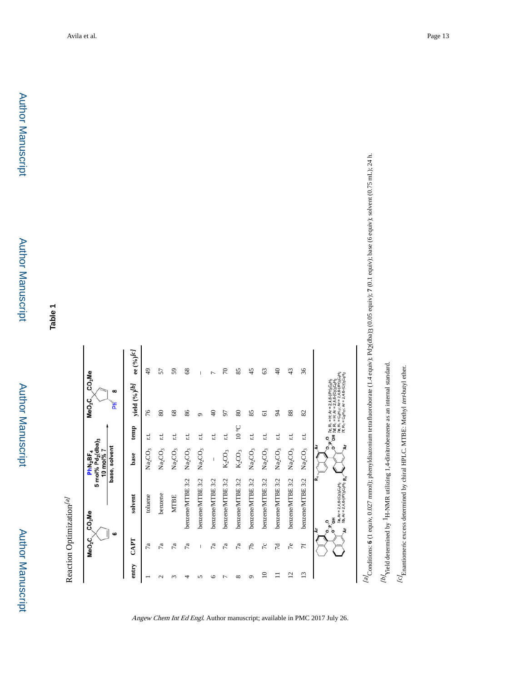

|      | $\bullet$       |                                                                                                                                                                                  | base, solvent                   |               | $\infty$<br>Ĕ                                                                                                                                                                                                                                                                                                                                                                                                               |                                        |
|------|-----------------|----------------------------------------------------------------------------------------------------------------------------------------------------------------------------------|---------------------------------|---------------|-----------------------------------------------------------------------------------------------------------------------------------------------------------------------------------------------------------------------------------------------------------------------------------------------------------------------------------------------------------------------------------------------------------------------------|----------------------------------------|
| CAPT |                 | solvent                                                                                                                                                                          | base                            | temp          | yield (%) <sup>[b]</sup>                                                                                                                                                                                                                                                                                                                                                                                                    | ee $({}^o\!\!/_0)^{\!\!}/\!\!{}^{[c]}$ |
| 7a   |                 | toluene                                                                                                                                                                          | $\rm Na_2CO_3$                  | t.            | 76                                                                                                                                                                                                                                                                                                                                                                                                                          | $\frac{1}{2}$                          |
|      | 7a              | benzene                                                                                                                                                                          | Na <sub>2</sub> CO <sub>3</sub> | t.t.          | 80                                                                                                                                                                                                                                                                                                                                                                                                                          | 57                                     |
|      | $\mathbb{Z}$    | <b>MTBE</b>                                                                                                                                                                      | $\rm Na_2CO_3$                  | t.            | $\frac{8}{3}$                                                                                                                                                                                                                                                                                                                                                                                                               | 59                                     |
|      | 7a              | benzene/MTBE 3:2                                                                                                                                                                 | $\rm Na_2CO_3$                  | Ľ.            | 86                                                                                                                                                                                                                                                                                                                                                                                                                          | 8                                      |
|      | I               | benzene/MTBE 3:2                                                                                                                                                                 | Na <sub>2</sub> CO <sub>3</sub> | d             | σ                                                                                                                                                                                                                                                                                                                                                                                                                           | I                                      |
|      | $\overline{7}a$ | benzene/MTBE 3:2                                                                                                                                                                 |                                 | r.t.          | ₽                                                                                                                                                                                                                                                                                                                                                                                                                           |                                        |
|      | $\mathbb{Z}$    | benzene/MTBE 3:2                                                                                                                                                                 | $K_2CO_3$                       | t.t.          | 57                                                                                                                                                                                                                                                                                                                                                                                                                          | 70                                     |
|      | $\mathbb{Z}$    | benzene/MTBE 3:2                                                                                                                                                                 | $K_2CO_3$                       | $_{\rm O}$ or | 80                                                                                                                                                                                                                                                                                                                                                                                                                          | 85                                     |
|      | 5               | benzene/MTBE 3:2                                                                                                                                                                 | $\text{Na}_2\text{CO}_3$        | t.t.          | 85                                                                                                                                                                                                                                                                                                                                                                                                                          | 45                                     |
|      | 70              | benzene/MTBE 3:2                                                                                                                                                                 | $\rm Na_2CO_3$                  | t.t           | 5                                                                                                                                                                                                                                                                                                                                                                                                                           | 3                                      |
|      | 7d              | benzene/MTBE 3:2                                                                                                                                                                 | $\rm Na_2CO_3$                  | t.i           | 54                                                                                                                                                                                                                                                                                                                                                                                                                          | ¥                                      |
|      | 7e              | benzene/MTBE 3:2                                                                                                                                                                 | $\rm Na_2CO_3$                  | I.L           | 88                                                                                                                                                                                                                                                                                                                                                                                                                          | $\frac{4}{3}$                          |
|      | H               | benzene/MTBE 3:2                                                                                                                                                                 | Na <sub>2</sub> CO <sub>3</sub> | E.L           | 82                                                                                                                                                                                                                                                                                                                                                                                                                          | 36                                     |
|      |                 | œ<br>7a, Ar = 2,4,6-(Cy) <sub>3</sub> C <sub>0</sub> H <sub>2</sub><br>7b, Ar = 2,4,6-(iPr) <sub>3</sub> C <sub>0</sub> H <sub>2</sub> <b>R</b> <sub>1</sub><br>풍<br>ä<br>ä<br>ö | ā<br>ĕ<br>ó<br>ó                | .<br>آه       | <b>OH</b> 7d, R <sub>1</sub> = H, Ar = 2,4,6-(Cy) <sub>3</sub> C <sub>6</sub> H <sub>2</sub><br>7e, R <sub>1</sub> = C <sub>0</sub> H <sub>17</sub> : Ar = 2,4,6-(Pr) <sub>3</sub> C <sub>6</sub> H <sub>2</sub><br>7f, R <sub>1</sub> = C <sub>8</sub> H <sub>17</sub> ; Ar = 2,4,6-(Cy) <sub>3</sub> C <sub>8</sub> H <sub>2</sub><br>7c, R <sub>1</sub> = H; Ar = 2,4,8-(iPr) <sub>3</sub> C <sub>e</sub> H <sub>2</sub> |                                        |
|      |                 |                                                                                                                                                                                  |                                 |               |                                                                                                                                                                                                                                                                                                                                                                                                                             |                                        |

Angew Chem Int Ed Engl. Author manuscript; available in PMC 2017 July 26.

 $\frac{[a]}{2}$ Conditions: 6 (1 equiv, 0.027 mmol); phenyldiazonium tetrafluoroborate (1.4 equiv); Pd2(dba)3 (0.05 equiv); 7 (0.1 equiv); base (6 equiv); solvent (0.75 mL); 24 h. [a] Conditions: **6** (1 equiv, 0.027 mmol); phenyldiazonium tetrafluoroborate (1.4 equiv); Pd2(dba)3 (0.05 equiv); **7** (0.1 equiv); base (6 equiv); solvent (0.75 mL); 24 h.

 $\mathit{1bY}\xspace$  ried determined by  $\rm ^1H\mbox{-}NMR$  utilizing 1,4-dinitrobenzene as an internal standard. 1H-NMR utilizing 1,4-dinitrobenzene as an internal standard.  $[b]$  Yield determined by

 $\ell c I$ Enantiomeric excess determined by chiral HPLC. MTBE: Methyl ear-butyl ether.  $^{12}$ Enantiomeric excess determined by chiral HPLC. MTBE: Methyl tert-butyl ether.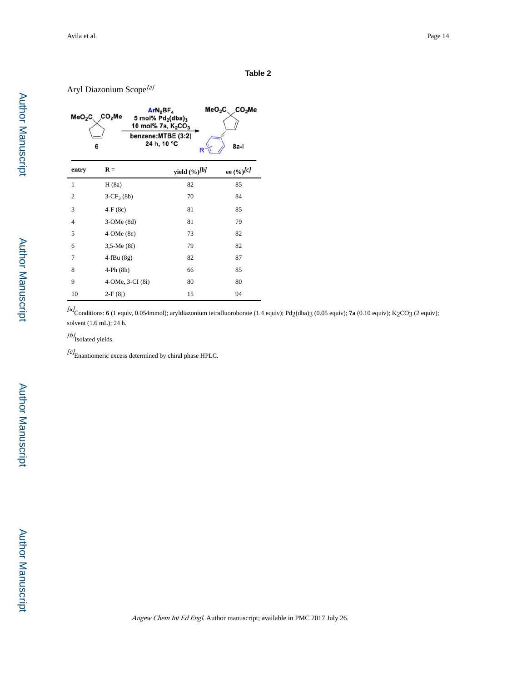Aryl Diazonium Scope<sup>[a]</sup>

| MeO <sub>2</sub> C | ArN <sub>2</sub> BF <sub>4</sub><br>CO <sub>2</sub> Me<br>5 mol% $Pd_2(dba)_3$<br>10 mol% 7a, K <sub>2</sub> CO <sub>3</sub><br>benzene:MTBE (3:2)<br>24 h, 10 °C<br>6 | MeO <sub>2</sub> C <sub>3</sub><br>R | CO <sub>2</sub> Me<br>8a-i |
|--------------------|------------------------------------------------------------------------------------------------------------------------------------------------------------------------|--------------------------------------|----------------------------|
| entry              | $R =$                                                                                                                                                                  | yield $(\frac{6}{9})$ <sup>[b]</sup> | ee $(\frac{6}{6})$ [c]     |
| 1                  | H(8a)                                                                                                                                                                  | 82                                   | 85                         |
| 2                  | $3-CF_3(8b)$                                                                                                                                                           | 70                                   | 84                         |
| 3                  | $4-F(8c)$                                                                                                                                                              | 81                                   | 85                         |
| $\overline{4}$     | $3$ -OMe $(8d)$                                                                                                                                                        | 81                                   | 79                         |
| 5                  | $4$ -OMe $(8e)$                                                                                                                                                        | 73                                   | 82                         |
| 6                  | $3,5$ -Me $(8f)$                                                                                                                                                       | 79                                   | 82                         |
| $\overline{7}$     | $4-fBu(8g)$                                                                                                                                                            | 82                                   | 87                         |
| 8                  | $4-Ph(8h)$                                                                                                                                                             | 66                                   | 85                         |
| 9                  | 4-OMe, 3-CI (8i)                                                                                                                                                       | 80                                   | 80                         |
| 10                 | $2-F(8i)$                                                                                                                                                              | 15                                   | 94                         |

[a] Conditions: **6** (1 equiv, 0.054mmol); aryldiazonium tetrafluoroborate (1.4 equiv); Pd2(dba)3 (0.05 equiv); **7a** (0.10 equiv); K2CO3 (2 equiv); solvent (1.6 mL); 24 h.

[b]<br>Isolated yields.

 $^{[c]}$ Enantiomeric excess determined by chiral phase HPLC.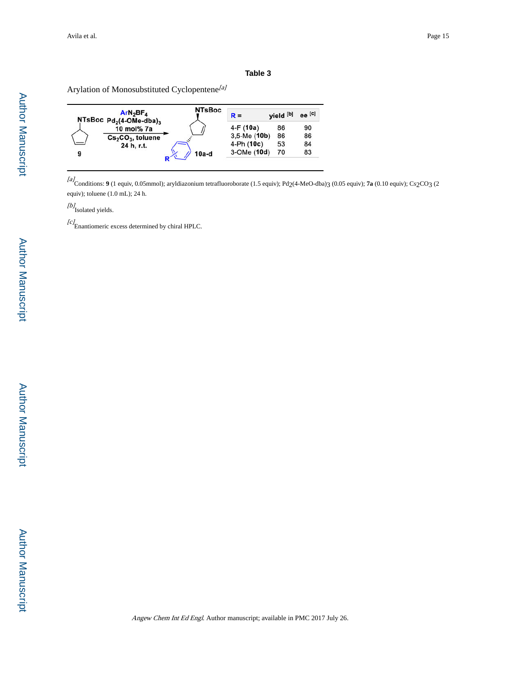Arylation of Monosubstituted Cyclopentene<sup>[a]</sup>

|   | ArN <sub>2</sub> BF <sub>A</sub><br>NTsBoc $Pd_2$ (4-OMe-dba) <sub>3</sub> | <b>NTsBoc</b> | $R =$             | yield [b] | $ee$ <sup>[c]</sup> |
|---|----------------------------------------------------------------------------|---------------|-------------------|-----------|---------------------|
|   | 10 mol% 7a                                                                 |               | $4-F(10a)$        | 86        | 90                  |
|   | $Cs2CO3$ , toluene                                                         |               | $3.5$ -Me $(10b)$ | 86        | 86                  |
|   | 24 h, r.t.                                                                 |               | 4-Ph (10c)        | 53        | 84                  |
| 9 |                                                                            | $10a-d$       | 3-OMe (10d)       | 70        | 83                  |

[a] Conditions: **9** (1 equiv, 0.05mmol); aryldiazonium tetrafluoroborate (1.5 equiv); Pd2(4-MeO-dba)3 (0.05 equiv); **7a** (0.10 equiv); Cs2CO3 (2 equiv); toluene (1.0 mL); 24 h.

[b]<sub>Isolated yields.</sub>

 $[c]$ Enantiomeric excess determined by chiral HPLC.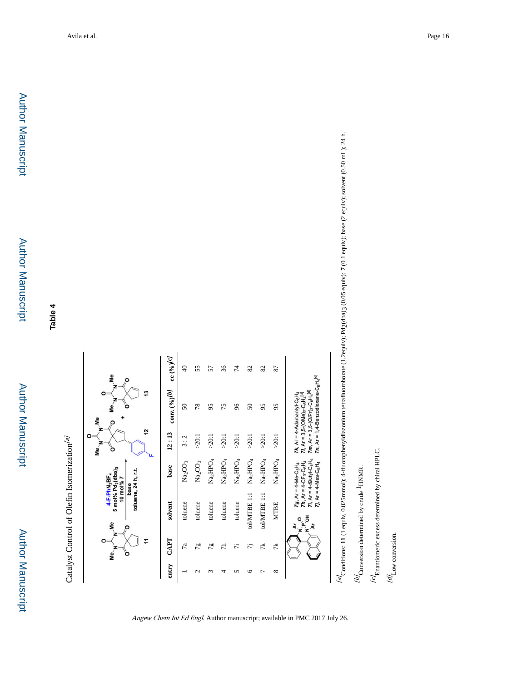| ŝ                                                                                                                             | ee $({}^o\!\!/_0)^{\!\!}/\!\!{}^{\mathbb C} J$    | ¥               | 55              | 57                            | 36              | 74              | 82              | 82                     | 87              |                                                                                                                                                                                                                                                      |
|-------------------------------------------------------------------------------------------------------------------------------|---------------------------------------------------|-----------------|-----------------|-------------------------------|-----------------|-----------------|-----------------|------------------------|-----------------|------------------------------------------------------------------------------------------------------------------------------------------------------------------------------------------------------------------------------------------------------|
|                                                                                                                               | соп<br>v. $({}^o\!/\!\delta)^{\!\!/}{}^{\!\!B\!}$ | $\overline{50}$ | 78              | 95                            | 75              | 96              | 50              | 95                     | 95              | 7n, $Ar = 1, 4$ -Benzodioxane-C <sub>6</sub> H <sub>4</sub> <sup>[d]</sup><br><b>7m, Ar</b> = $3,5-(OPr)_{2}-C_{6}H_{4}^{[d]}$<br>7k, $Ar = 4$ -Adamantyl- $C_6H_4$<br>71, Ar = 3,5-(OMe) <sub>2</sub> -C <sub>6</sub> H <sub>4</sub> <sup>[d]</sup> |
| 2                                                                                                                             | 12:13                                             | 3:2             | >20:1           | >20:1                         | >20:1           | >20:1           | >20:1           | $>20:1$                | >20:1           |                                                                                                                                                                                                                                                      |
|                                                                                                                               | base                                              | $\rm Na_2CO_3$  | $\rm Na_2CO_3$  | $\text{Na}_{2}\text{HPO}_{4}$ | $\rm Na_2HPO_4$ | $\rm Na_2HPO_4$ | $\rm Na_2HPO_4$ | $\rm Na_2HPO_4$        | $\rm Na_2HPO_4$ | $7i$ , Ar = 4-fButyl-C <sub>6</sub> H <sub>4</sub><br><b>7h</b> , $Ar = 4 - CF_3 - C_6H_4$<br>$7J$ , Ar = 4-Mes-C <sub>6</sub> H <sub>4</sub><br>7g, $Ar = 4$ -Me-C <sub>6</sub> H <sub>4</sub>                                                      |
| $5 \text{ mol%}$ $Pd_2$ (dba) <sub>3</sub><br>toluene, 24 h, r.t<br>4-F-PhN <sub>2</sub> BF <sub>4</sub><br>10 mol% 7<br>base | solvent                                           | toluene         | toluene         | toluene                       | toluene         | toluene         | tol/MTBE 1:1    | tolMTBE <sub>1:1</sub> | <b>MTBE</b>     |                                                                                                                                                                                                                                                      |
| o<br>ö                                                                                                                        | CAPT                                              | 7a              | 78              | $\frac{8}{5}$                 | 47              | $\ddot{\pi}$    | 5               | 7k                     | 1к              | z                                                                                                                                                                                                                                                    |
|                                                                                                                               | entry                                             |                 | $\mathbf{\sim}$ |                               |                 |                 |                 |                        | ∞               |                                                                                                                                                                                                                                                      |

Angew Chem Int Ed Engl. Author manuscript; available in PMC 2017 July 26.

 $\frac{[a]}{2}$ Conditions: 11 (1 equiv, 0.025mmol); 4-fluorophenyldiazonium tetrafluoroborate (1.2equiv); Pd2(dba)3 (0.05 equiv); 7 (0.1 equiv); base (2 equiv); solvent (0.50 mL); 24 h. [a] Conditions: **11** (1 equiv, 0.025mmol); 4-fluorophenyldiazonium tetrafluoroborate (1.2equiv); Pd2(dba)3 (0.05 equiv); **7** (0.1 equiv); base (2 equiv); solvent (0.50 mL); 24 h.

 $\frac{1}{b}$  Conversion determined by crude  $^{16}\!U_\mathrm{Conversion}$  determined by crude  $^1\mathrm{HNMR}$ 

 $\emph{lcf}_\text{Enantiometric excess determined by chiral HPLC.}$  $^{16}C$  Enantiomeric excess determined by chiral HPLC.

 $\left[d\right]_{\rm Low\ conversion.}$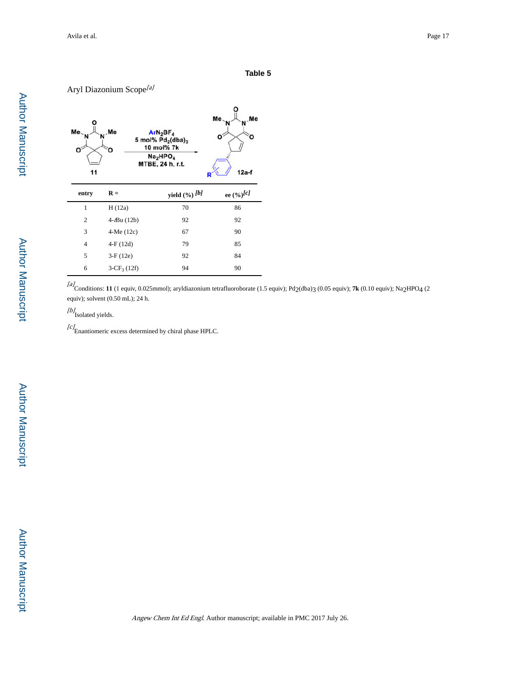## Aryl Diazonium Scope<sup>[a]</sup> Me  $ArN_2BF_4$ <br>5 mol%  $Pd_2(dba)_3$ 10 mol% 7k  $Na<sub>2</sub>HPO<sub>4</sub>$ <br>MTBE, 24 h, r.t.  $11$  $12a-f$ **entry R** = **yield**  $(\frac{6}{6})^{b}$  **ee**  $(\frac{6}{6})^{c}$ 1 H (12a) 70 86 2 4-tBu (12b) 92 92 3 4-Me (12c) 67 90 4 4-F (12d) 79 85 5 3-F (12e) 92 84 6  $3-CF_3(12f)$  94 90

[a] Conditions: **11** (1 equiv, 0.025mmol); aryldiazonium tetrafluoroborate (1.5 equiv); Pd2(dba)3 (0.05 equiv); **7k** (0.10 equiv); Na2HPO4 (2 equiv); solvent (0.50 mL); 24 h.

[b]<sub>Isolated yields.</sub>

 $^{[c]}$ Enantiomeric excess determined by chiral phase HPLC.